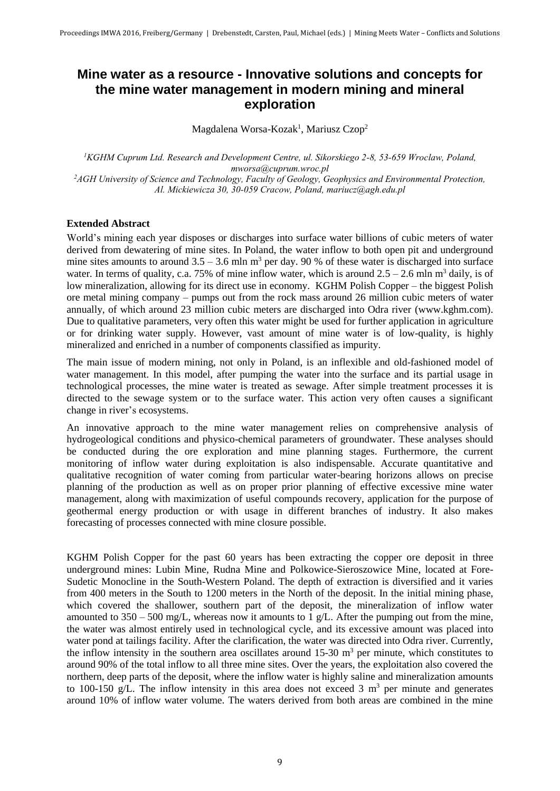## **Mine water as a resource - Innovative solutions and concepts for the mine water management in modern mining and mineral exploration**

Magdalena Worsa-Kozak<sup>1</sup>, Mariusz Czop<sup>2</sup>

*<sup>1</sup>KGHM Cuprum Ltd. Research and Development Centre, ul. Sikorskiego 2-8, 53-659 Wroclaw, Poland, mworsa@cuprum.wroc.pl <sup>2</sup>AGH University of Science and Technology, Faculty of Geology, Geophysics and Environmental Protection, Al. Mickiewicza 30, 30-059 Cracow, Poland, mariucz@agh.edu.pl*

## **Extended Abstract**

World's mining each year disposes or discharges into surface water billions of cubic meters of water derived from dewatering of mine sites. In Poland, the water inflow to both open pit and underground mine sites amounts to around  $3.5 - 3.6$  mln m<sup>3</sup> per day. 90 % of these water is discharged into surface water. In terms of quality, c.a. 75% of mine inflow water, which is around  $2.5 - 2.6$  mln m<sup>3</sup> daily, is of low mineralization, allowing for its direct use in economy. KGHM Polish Copper – the biggest Polish ore metal mining company – pumps out from the rock mass around 26 million cubic meters of water annually, of which around 23 million cubic meters are discharged into Odra river (www.kghm.com). Due to qualitative parameters, very often this water might be used for further application in agriculture or for drinking water supply. However, vast amount of mine water is of low-quality, is highly mineralized and enriched in a number of components classified as impurity.

The main issue of modern mining, not only in Poland, is an inflexible and old-fashioned model of water management. In this model, after pumping the water into the surface and its partial usage in technological processes, the mine water is treated as sewage. After simple treatment processes it is directed to the sewage system or to the surface water. This action very often causes a significant change in river's ecosystems.

An innovative approach to the mine water management relies on comprehensive analysis of hydrogeological conditions and physico-chemical parameters of groundwater. These analyses should be conducted during the ore exploration and mine planning stages. Furthermore, the current monitoring of inflow water during exploitation is also indispensable. Accurate quantitative and qualitative recognition of water coming from particular water-bearing horizons allows on precise planning of the production as well as on proper prior planning of effective excessive mine water management, along with maximization of useful compounds recovery, application for the purpose of geothermal energy production or with usage in different branches of industry. It also makes forecasting of processes connected with mine closure possible.

KGHM Polish Copper for the past 60 years has been extracting the copper ore deposit in three underground mines: Lubin Mine, Rudna Mine and Polkowice-Sieroszowice Mine, located at Fore-Sudetic Monocline in the South-Western Poland. The depth of extraction is diversified and it varies from 400 meters in the South to 1200 meters in the North of the deposit. In the initial mining phase, which covered the shallower, southern part of the deposit, the mineralization of inflow water amounted to  $350 - 500$  mg/L, whereas now it amounts to 1 g/L. After the pumping out from the mine, the water was almost entirely used in technological cycle, and its excessive amount was placed into water pond at tailings facility. After the clarification, the water was directed into Odra river. Currently, the inflow intensity in the southern area oscillates around  $15{\text -}30$  m<sup>3</sup> per minute, which constitutes to around 90% of the total inflow to all three mine sites. Over the years, the exploitation also covered the northern, deep parts of the deposit, where the inflow water is highly saline and mineralization amounts to 100-150 g/L. The inflow intensity in this area does not exceed 3  $m<sup>3</sup>$  per minute and generates around 10% of inflow water volume. The waters derived from both areas are combined in the mine